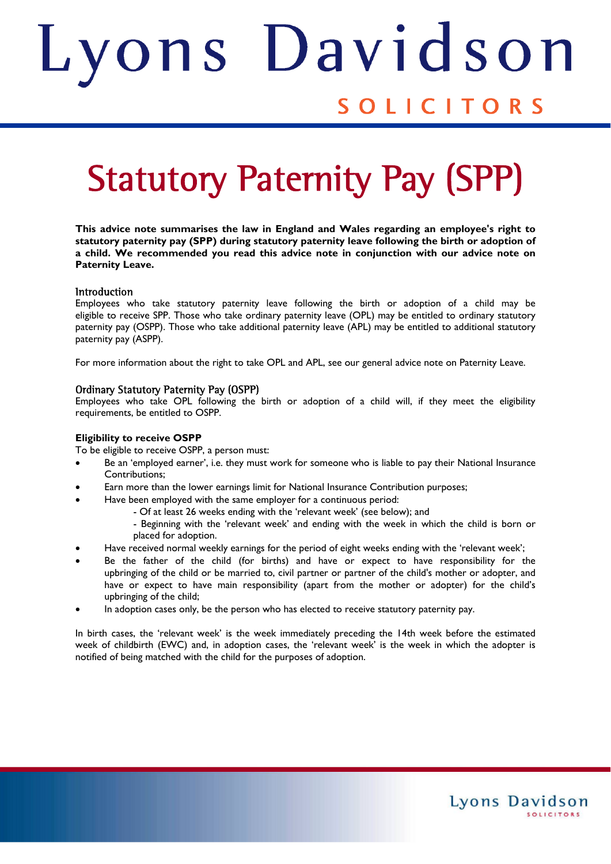# ons Davids Judith SOLICITORS

# Statutory Paternity Pay (SPP)

**This advice note summarises the law in England and Wales regarding an employee's right to statutory paternity pay (SPP) during statutory paternity leave following the birth or adoption of a child. We recommended you read this advice note in conjunction with our advice note on Paternity Leave.** 

# **Introduction**

Employees who take statutory paternity leave following the birth or adoption of a child may be eligible to receive SPP. Those who take ordinary paternity leave (OPL) may be entitled to ordinary statutory paternity pay (OSPP). Those who take additional paternity leave (APL) may be entitled to additional statutory paternity pay (ASPP).

For more information about the right to take OPL and APL, see our general advice note on Paternity Leave.

# Ordinary Statutory Paternity Pay (OSPP)

Employees who take OPL following the birth or adoption of a child will, if they meet the eligibility requirements, be entitled to OSPP.

# **Eligibility to receive OSPP**

To be eligible to receive OSPP, a person must:

- Be an 'employed earner', i.e. they must work for someone who is liable to pay their National Insurance Contributions;
- Earn more than the lower earnings limit for National Insurance Contribution purposes;
- Have been employed with the same employer for a continuous period:
	- Of at least 26 weeks ending with the 'relevant week' (see below); and
	- Beginning with the 'relevant week' and ending with the week in which the child is born or placed for adoption.

Lyons Davidson

**SOLICITORS** 

- Have received normal weekly earnings for the period of eight weeks ending with the 'relevant week';
- Be the father of the child (for births) and have or expect to have responsibility for the upbringing of the child or be married to, civil partner or partner of the child's mother or adopter, and have or expect to have main responsibility (apart from the mother or adopter) for the child's upbringing of the child;
- In adoption cases only, be the person who has elected to receive statutory paternity pay.

In birth cases, the 'relevant week' is the week immediately preceding the 14th week before the estimated week of childbirth (EWC) and, in adoption cases, the 'relevant week' is the week in which the adopter is notified of being matched with the child for the purposes of adoption.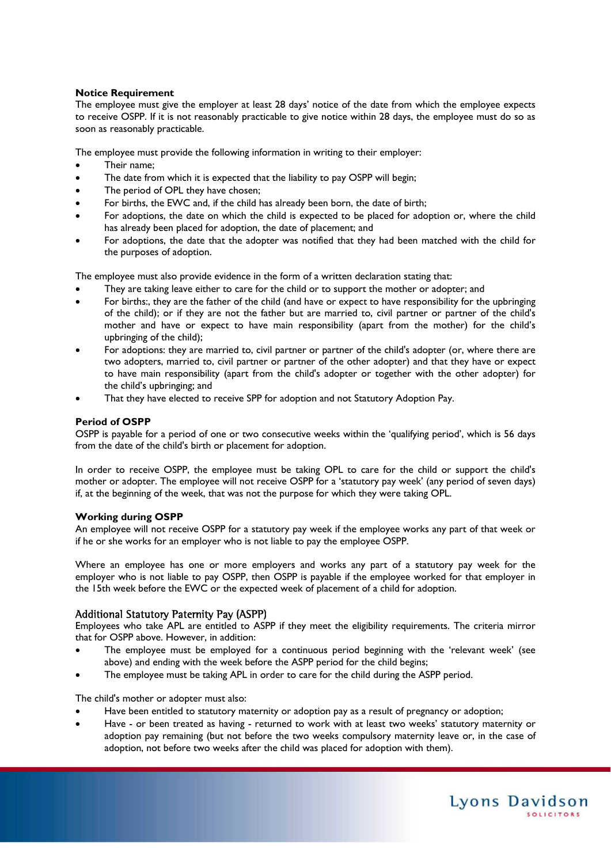# **Notice Requirement**

The employee must give the employer at least 28 days' notice of the date from which the employee expects to receive OSPP. If it is not reasonably practicable to give notice within 28 days, the employee must do so as soon as reasonably practicable.

The employee must provide the following information in writing to their employer:

- Their name;
- The date from which it is expected that the liability to pay OSPP will begin;
- The period of OPL they have chosen;
- For births, the EWC and, if the child has already been born, the date of birth;
- For adoptions, the date on which the child is expected to be placed for adoption or, where the child has already been placed for adoption, the date of placement; and
- For adoptions, the date that the adopter was notified that they had been matched with the child for the purposes of adoption.

The employee must also provide evidence in the form of a written declaration stating that:

- They are taking leave either to care for the child or to support the mother or adopter; and
- For births:, they are the father of the child (and have or expect to have responsibility for the upbringing of the child); or if they are not the father but are married to, civil partner or partner of the child's mother and have or expect to have main responsibility (apart from the mother) for the child's upbringing of the child);
- For adoptions: they are married to, civil partner or partner of the child's adopter (or, where there are two adopters, married to, civil partner or partner of the other adopter) and that they have or expect to have main responsibility (apart from the child's adopter or together with the other adopter) for the child's upbringing; and
- That they have elected to receive SPP for adoption and not Statutory Adoption Pay.

# **Period of OSPP**

OSPP is payable for a period of one or two consecutive weeks within the 'qualifying period', which is 56 days from the date of the child's birth or placement for adoption.

In order to receive OSPP, the employee must be taking OPL to care for the child or support the child's mother or adopter. The employee will not receive OSPP for a 'statutory pay week' (any period of seven days) if, at the beginning of the week, that was not the purpose for which they were taking OPL.

# **Working during OSPP**

An employee will not receive OSPP for a statutory pay week if the employee works any part of that week or if he or she works for an employer who is not liable to pay the employee OSPP.

Where an employee has one or more employers and works any part of a statutory pay week for the employer who is not liable to pay OSPP, then OSPP is payable if the employee worked for that employer in the 15th week before the EWC or the expected week of placement of a child for adoption.

# Additional Statutory Paternity Pay (ASPP)

Employees who take APL are entitled to ASPP if they meet the eligibility requirements. The criteria mirror that for OSPP above. However, in addition:

- The employee must be employed for a continuous period beginning with the 'relevant week' (see above) and ending with the week before the ASPP period for the child begins;
- The employee must be taking APL in order to care for the child during the ASPP period.

The child's mother or adopter must also:

- Have been entitled to statutory maternity or adoption pay as a result of pregnancy or adoption;
- Have or been treated as having returned to work with at least two weeks' statutory maternity or adoption pay remaining (but not before the two weeks compulsory maternity leave or, in the case of adoption, not before two weeks after the child was placed for adoption with them).

Lyons Davidson

**SOLICITORS**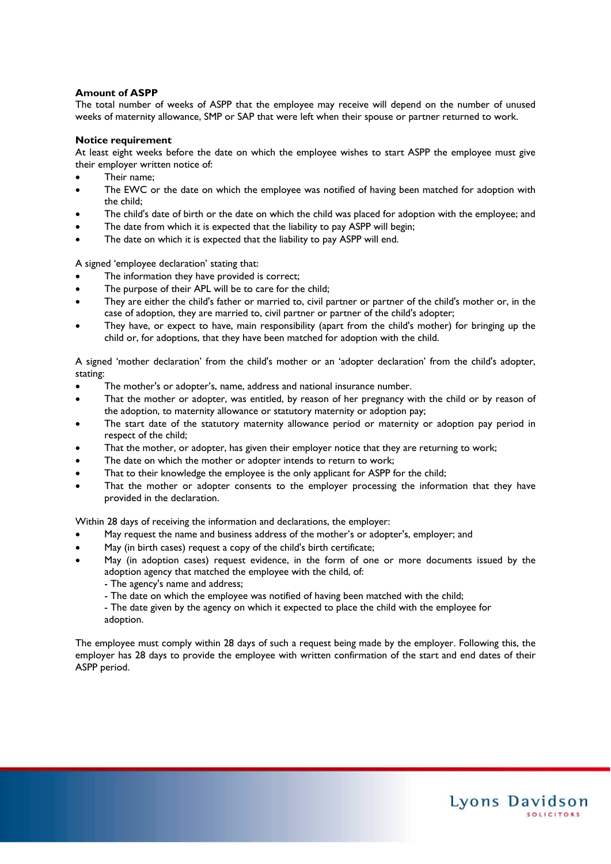# **Amount of ASPP**

The total number of weeks of ASPP that the employee may receive will depend on the number of unused weeks of maternity allowance, SMP or SAP that were left when their spouse or partner returned to work.

# **Notice requirement**

At least eight weeks before the date on which the employee wishes to start ASPP the employee must give their employer written notice of:

- Their name;
- The EWC or the date on which the employee was notified of having been matched for adoption with the child;
- The child's date of birth or the date on which the child was placed for adoption with the employee; and
- The date from which it is expected that the liability to pay ASPP will begin;
- The date on which it is expected that the liability to pay ASPP will end.

A signed 'employee declaration' stating that:

- The information they have provided is correct;
- The purpose of their APL will be to care for the child;
- They are either the child's father or married to, civil partner or partner of the child's mother or, in the case of adoption, they are married to, civil partner or partner of the child's adopter;
- They have, or expect to have, main responsibility (apart from the child's mother) for bringing up the child or, for adoptions, that they have been matched for adoption with the child.

A signed 'mother declaration' from the child's mother or an 'adopter declaration' from the child's adopter, stating:

- The mother's or adopter's, name, address and national insurance number.
- That the mother or adopter, was entitled, by reason of her pregnancy with the child or by reason of the adoption, to maternity allowance or statutory maternity or adoption pay;
- The start date of the statutory maternity allowance period or maternity or adoption pay period in respect of the child;
- That the mother, or adopter, has given their employer notice that they are returning to work;
- The date on which the mother or adopter intends to return to work;
- That to their knowledge the employee is the only applicant for ASPP for the child;
- That the mother or adopter consents to the employer processing the information that they have provided in the declaration.

Within 28 days of receiving the information and declarations, the employer:

- May request the name and business address of the mother's or adopter's, employer; and
- May (in birth cases) request a copy of the child's birth certificate;
- May (in adoption cases) request evidence, in the form of one or more documents issued by the adoption agency that matched the employee with the child, of:
	- The agency's name and address;
	- The date on which the employee was notified of having been matched with the child;
	- The date given by the agency on which it expected to place the child with the employee for adoption.

The employee must comply within 28 days of such a request being made by the employer. Following this, the employer has 28 days to provide the employee with written confirmation of the start and end dates of their ASPP period.

Lyons Davidson